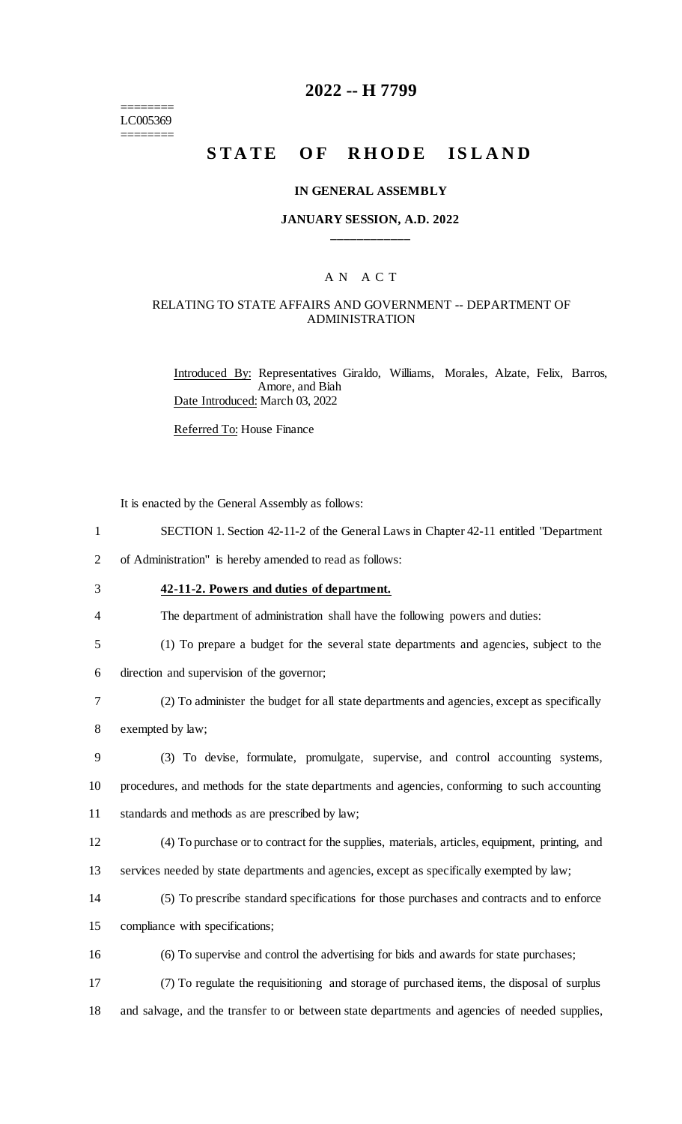======== LC005369 ========

### **2022 -- H 7799**

# **STATE OF RHODE ISLAND**

#### **IN GENERAL ASSEMBLY**

#### **JANUARY SESSION, A.D. 2022 \_\_\_\_\_\_\_\_\_\_\_\_**

## A N A C T

### RELATING TO STATE AFFAIRS AND GOVERNMENT -- DEPARTMENT OF ADMINISTRATION

Introduced By: Representatives Giraldo, Williams, Morales, Alzate, Felix, Barros, Amore, and Biah Date Introduced: March 03, 2022

Referred To: House Finance

It is enacted by the General Assembly as follows:

|  | SECTION 1. Section 42-11-2 of the General Laws in Chapter 42-11 entitled "Department" |  |  |  |  |  |
|--|---------------------------------------------------------------------------------------|--|--|--|--|--|
|--|---------------------------------------------------------------------------------------|--|--|--|--|--|

2 of Administration" is hereby amended to read as follows:

3 **42-11-2. Powers and duties of department.**

4 The department of administration shall have the following powers and duties:

5 (1) To prepare a budget for the several state departments and agencies, subject to the

6 direction and supervision of the governor;

- 7 (2) To administer the budget for all state departments and agencies, except as specifically
- 8 exempted by law;

9 (3) To devise, formulate, promulgate, supervise, and control accounting systems, 10 procedures, and methods for the state departments and agencies, conforming to such accounting 11 standards and methods as are prescribed by law;

12 (4) To purchase or to contract for the supplies, materials, articles, equipment, printing, and

13 services needed by state departments and agencies, except as specifically exempted by law;

14 (5) To prescribe standard specifications for those purchases and contracts and to enforce

15 compliance with specifications;

16 (6) To supervise and control the advertising for bids and awards for state purchases;

17 (7) To regulate the requisitioning and storage of purchased items, the disposal of surplus 18 and salvage, and the transfer to or between state departments and agencies of needed supplies,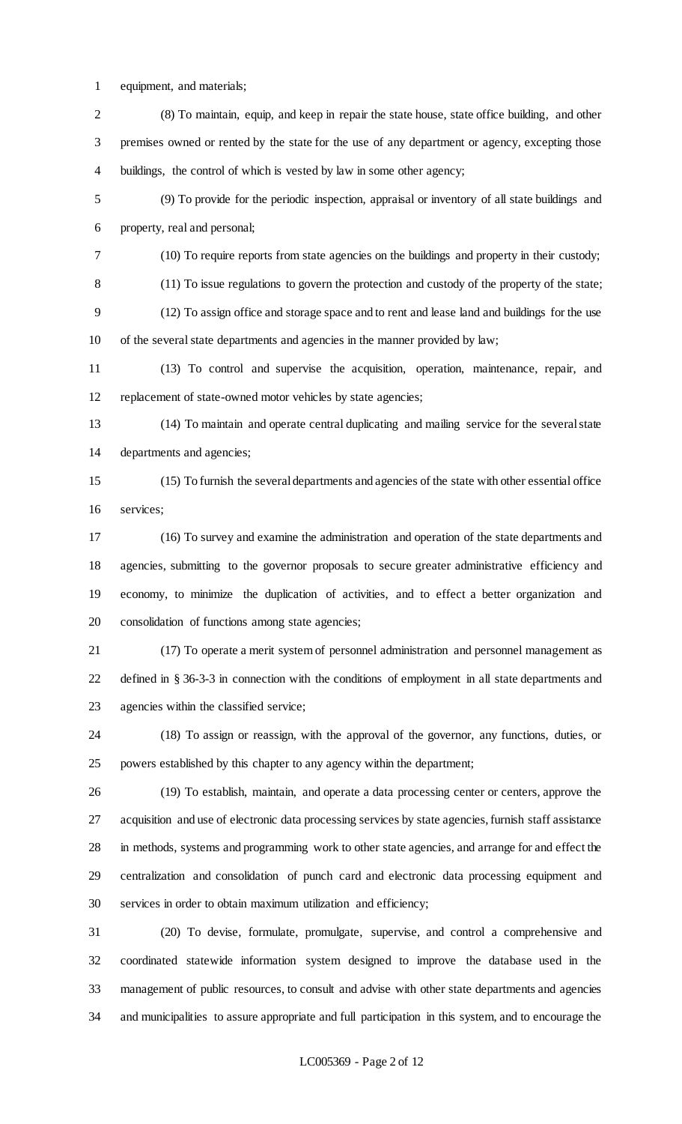equipment, and materials;

 (8) To maintain, equip, and keep in repair the state house, state office building, and other premises owned or rented by the state for the use of any department or agency, excepting those buildings, the control of which is vested by law in some other agency;

 (9) To provide for the periodic inspection, appraisal or inventory of all state buildings and property, real and personal;

(10) To require reports from state agencies on the buildings and property in their custody;

(11) To issue regulations to govern the protection and custody of the property of the state;

 (12) To assign office and storage space and to rent and lease land and buildings for the use of the several state departments and agencies in the manner provided by law;

 (13) To control and supervise the acquisition, operation, maintenance, repair, and replacement of state-owned motor vehicles by state agencies;

 (14) To maintain and operate central duplicating and mailing service for the several state departments and agencies;

 (15) To furnish the several departments and agencies of the state with other essential office services;

 (16) To survey and examine the administration and operation of the state departments and agencies, submitting to the governor proposals to secure greater administrative efficiency and economy, to minimize the duplication of activities, and to effect a better organization and consolidation of functions among state agencies;

 (17) To operate a merit system of personnel administration and personnel management as defined in § 36-3-3 in connection with the conditions of employment in all state departments and agencies within the classified service;

 (18) To assign or reassign, with the approval of the governor, any functions, duties, or powers established by this chapter to any agency within the department;

 (19) To establish, maintain, and operate a data processing center or centers, approve the acquisition and use of electronic data processing services by state agencies, furnish staff assistance in methods, systems and programming work to other state agencies, and arrange for and effect the centralization and consolidation of punch card and electronic data processing equipment and services in order to obtain maximum utilization and efficiency;

 (20) To devise, formulate, promulgate, supervise, and control a comprehensive and coordinated statewide information system designed to improve the database used in the management of public resources, to consult and advise with other state departments and agencies and municipalities to assure appropriate and full participation in this system, and to encourage the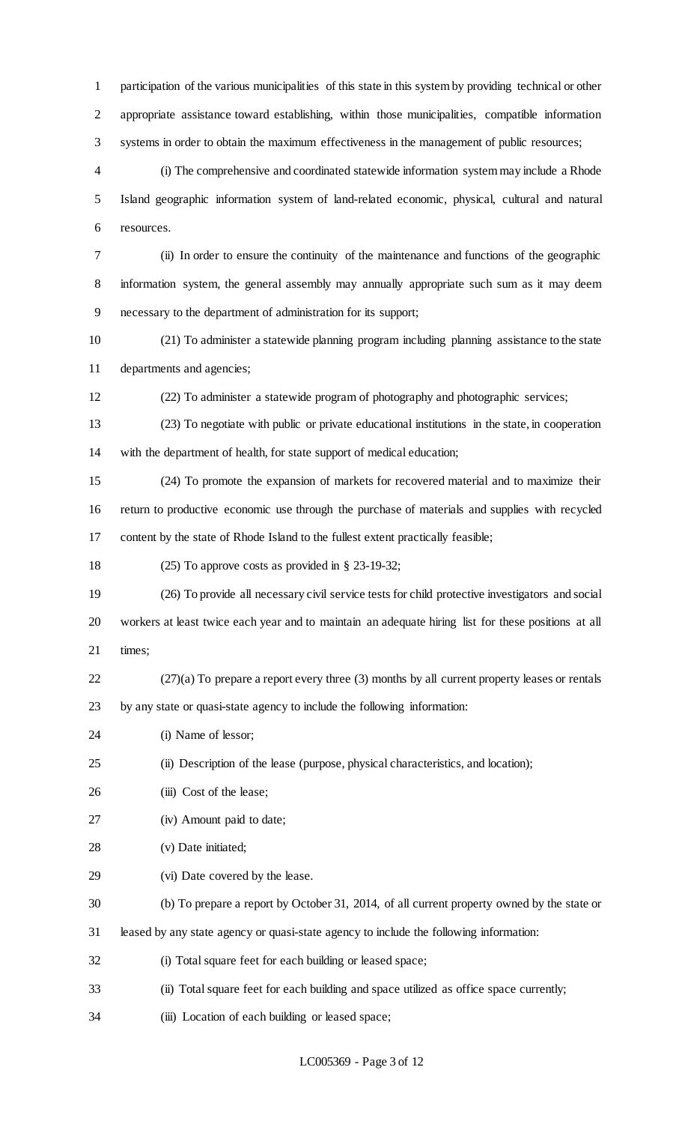participation of the various municipalities of this state in this system by providing technical or other appropriate assistance toward establishing, within those municipalities, compatible information systems in order to obtain the maximum effectiveness in the management of public resources;

 (i) The comprehensive and coordinated statewide information system may include a Rhode Island geographic information system of land-related economic, physical, cultural and natural resources.

 (ii) In order to ensure the continuity of the maintenance and functions of the geographic information system, the general assembly may annually appropriate such sum as it may deem necessary to the department of administration for its support;

 (21) To administer a statewide planning program including planning assistance to the state departments and agencies;

(22) To administer a statewide program of photography and photographic services;

 (23) To negotiate with public or private educational institutions in the state, in cooperation with the department of health, for state support of medical education;

 (24) To promote the expansion of markets for recovered material and to maximize their return to productive economic use through the purchase of materials and supplies with recycled content by the state of Rhode Island to the fullest extent practically feasible;

(25) To approve costs as provided in § 23-19-32;

 (26) To provide all necessary civil service tests for child protective investigators and social workers at least twice each year and to maintain an adequate hiring list for these positions at all times;

(27)(a) To prepare a report every three (3) months by all current property leases or rentals

by any state or quasi-state agency to include the following information:

(i) Name of lessor;

(ii) Description of the lease (purpose, physical characteristics, and location);

- 26 (iii) Cost of the lease;
- (iv) Amount paid to date;
- (v) Date initiated;
- (vi) Date covered by the lease.
- (b) To prepare a report by October 31, 2014, of all current property owned by the state or
- leased by any state agency or quasi-state agency to include the following information:
- (i) Total square feet for each building or leased space;
- (ii) Total square feet for each building and space utilized as office space currently;
- (iii) Location of each building or leased space;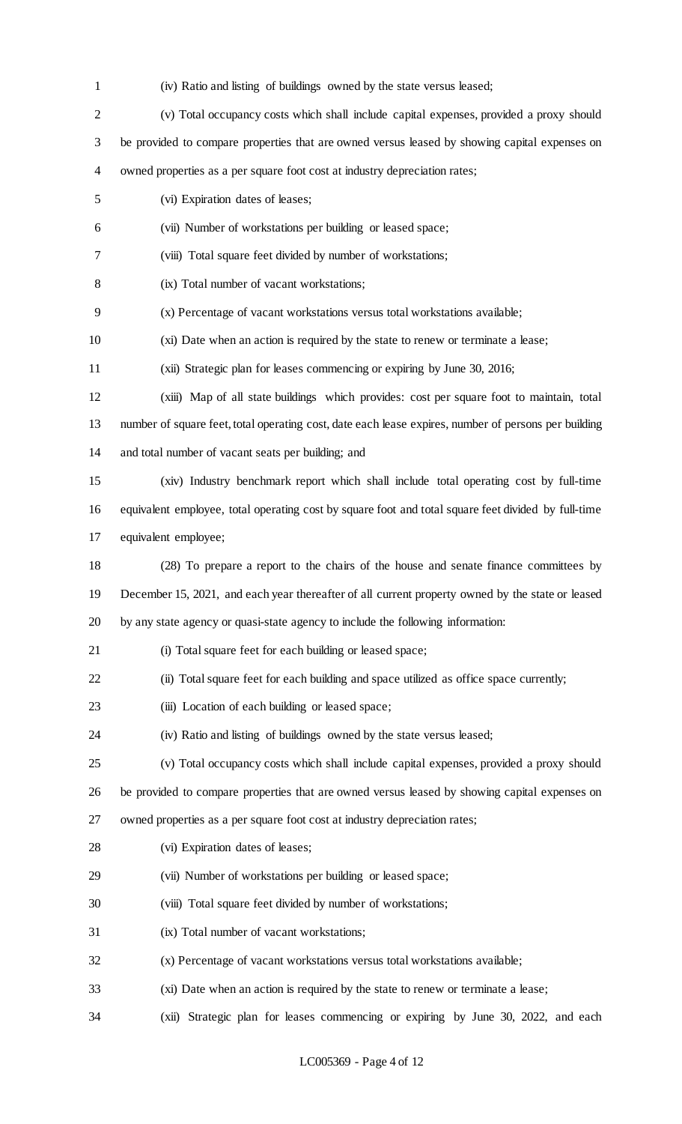(iv) Ratio and listing of buildings owned by the state versus leased;

| $\overline{2}$                                                                        | (v) Total occupancy costs which shall include capital expenses, provided a proxy should              |  |  |  |
|---------------------------------------------------------------------------------------|------------------------------------------------------------------------------------------------------|--|--|--|
| 3                                                                                     | be provided to compare properties that are owned versus leased by showing capital expenses on        |  |  |  |
| $\overline{4}$                                                                        | owned properties as a per square foot cost at industry depreciation rates;                           |  |  |  |
| 5                                                                                     | (vi) Expiration dates of leases;                                                                     |  |  |  |
| 6                                                                                     | (vii) Number of workstations per building or leased space;                                           |  |  |  |
| 7                                                                                     | (viii) Total square feet divided by number of workstations;                                          |  |  |  |
| 8                                                                                     | (ix) Total number of vacant workstations;                                                            |  |  |  |
| 9                                                                                     | (x) Percentage of vacant workstations versus total workstations available;                           |  |  |  |
| 10                                                                                    | (xi) Date when an action is required by the state to renew or terminate a lease;                     |  |  |  |
| 11                                                                                    | (xii) Strategic plan for leases commencing or expiring by June 30, 2016;                             |  |  |  |
| 12                                                                                    | (xiii) Map of all state buildings which provides: cost per square foot to maintain, total            |  |  |  |
| 13                                                                                    | number of square feet, total operating cost, date each lease expires, number of persons per building |  |  |  |
| 14                                                                                    | and total number of vacant seats per building; and                                                   |  |  |  |
| 15                                                                                    | (xiv) Industry benchmark report which shall include total operating cost by full-time                |  |  |  |
| 16                                                                                    | equivalent employee, total operating cost by square foot and total square feet divided by full-time  |  |  |  |
| 17                                                                                    | equivalent employee;                                                                                 |  |  |  |
| 18                                                                                    | (28) To prepare a report to the chairs of the house and senate finance committees by                 |  |  |  |
| 19                                                                                    | December 15, 2021, and each year thereafter of all current property owned by the state or leased     |  |  |  |
| by any state agency or quasi-state agency to include the following information:<br>20 |                                                                                                      |  |  |  |
| 21                                                                                    | (i) Total square feet for each building or leased space;                                             |  |  |  |
| 22                                                                                    | (ii) Total square feet for each building and space utilized as office space currently;               |  |  |  |
| 23                                                                                    | (iii) Location of each building or leased space;                                                     |  |  |  |
| 24                                                                                    | (iv) Ratio and listing of buildings owned by the state versus leased;                                |  |  |  |
| 25                                                                                    | (v) Total occupancy costs which shall include capital expenses, provided a proxy should              |  |  |  |
| 26                                                                                    | be provided to compare properties that are owned versus leased by showing capital expenses on        |  |  |  |
| 27                                                                                    | owned properties as a per square foot cost at industry depreciation rates;                           |  |  |  |
| 28                                                                                    | (vi) Expiration dates of leases;                                                                     |  |  |  |
| 29                                                                                    | (vii) Number of workstations per building or leased space;                                           |  |  |  |
| 30                                                                                    | (viii) Total square feet divided by number of workstations;                                          |  |  |  |
| 31                                                                                    | (ix) Total number of vacant workstations;                                                            |  |  |  |
| 32                                                                                    | (x) Percentage of vacant workstations versus total workstations available;                           |  |  |  |
| 33                                                                                    | (xi) Date when an action is required by the state to renew or terminate a lease;                     |  |  |  |
| 34                                                                                    | (xii) Strategic plan for leases commencing or expiring by June 30, 2022, and each                    |  |  |  |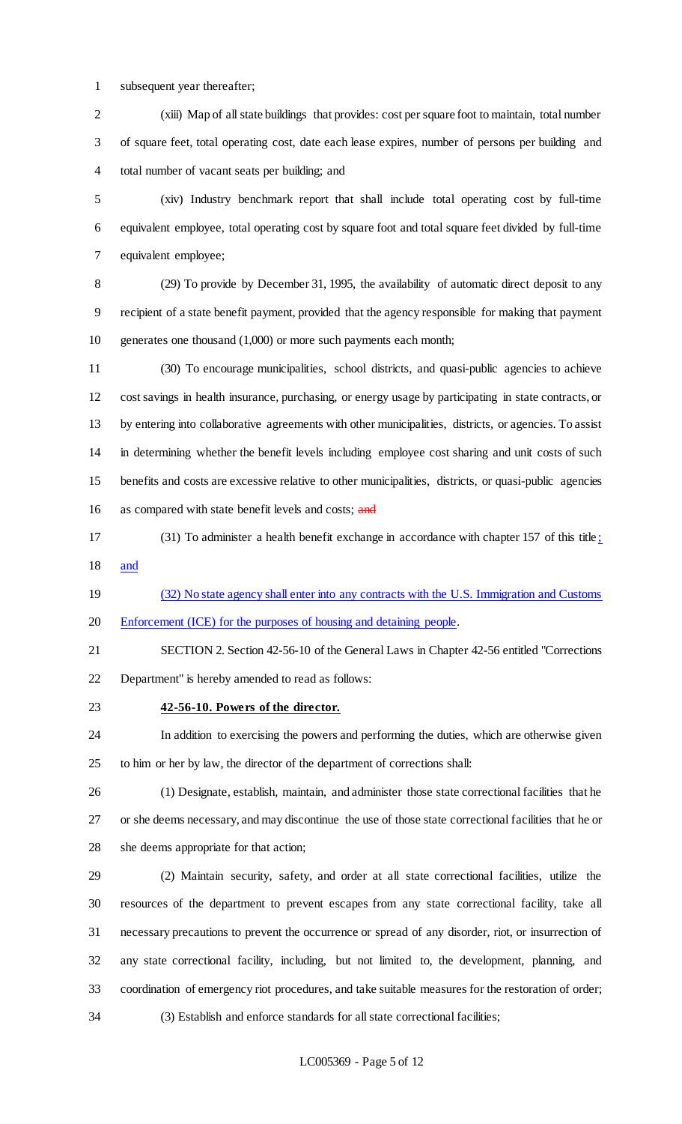subsequent year thereafter;

 (xiii) Map of all state buildings that provides: cost per square foot to maintain, total number of square feet, total operating cost, date each lease expires, number of persons per building and total number of vacant seats per building; and

 (xiv) Industry benchmark report that shall include total operating cost by full-time equivalent employee, total operating cost by square foot and total square feet divided by full-time equivalent employee;

 (29) To provide by December 31, 1995, the availability of automatic direct deposit to any recipient of a state benefit payment, provided that the agency responsible for making that payment generates one thousand (1,000) or more such payments each month;

 (30) To encourage municipalities, school districts, and quasi-public agencies to achieve cost savings in health insurance, purchasing, or energy usage by participating in state contracts, or by entering into collaborative agreements with other municipalities, districts, or agencies. To assist in determining whether the benefit levels including employee cost sharing and unit costs of such benefits and costs are excessive relative to other municipalities, districts, or quasi-public agencies 16 as compared with state benefit levels and costs; and

 (31) To administer a health benefit exchange in accordance with chapter 157 of this title ; and

 (32) No state agency shall enter into any contracts with the U.S. Immigration and Customs Enforcement (ICE) for the purposes of housing and detaining people.

 SECTION 2. Section 42-56-10 of the General Laws in Chapter 42-56 entitled "Corrections Department" is hereby amended to read as follows:

#### **42-56-10. Powers of the director.**

 In addition to exercising the powers and performing the duties, which are otherwise given to him or her by law, the director of the department of corrections shall:

 (1) Designate, establish, maintain, and administer those state correctional facilities that he or she deems necessary, and may discontinue the use of those state correctional facilities that he or she deems appropriate for that action;

 (2) Maintain security, safety, and order at all state correctional facilities, utilize the resources of the department to prevent escapes from any state correctional facility, take all necessary precautions to prevent the occurrence or spread of any disorder, riot, or insurrection of any state correctional facility, including, but not limited to, the development, planning, and coordination of emergency riot procedures, and take suitable measures for the restoration of order; (3) Establish and enforce standards for all state correctional facilities;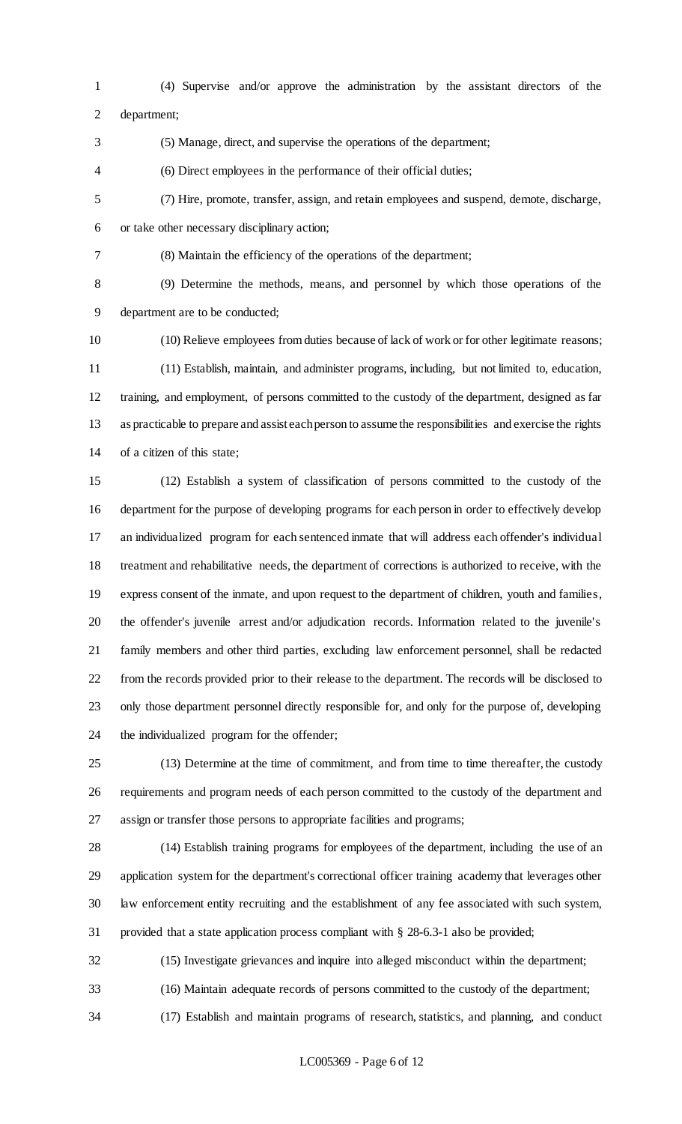- (4) Supervise and/or approve the administration by the assistant directors of the department;
- (5) Manage, direct, and supervise the operations of the department;

(6) Direct employees in the performance of their official duties;

 (7) Hire, promote, transfer, assign, and retain employees and suspend, demote, discharge, or take other necessary disciplinary action;

(8) Maintain the efficiency of the operations of the department;

 (9) Determine the methods, means, and personnel by which those operations of the department are to be conducted;

 (10) Relieve employees from duties because of lack of work or for other legitimate reasons; (11) Establish, maintain, and administer programs, including, but not limited to, education, training, and employment, of persons committed to the custody of the department, designed as far as practicable to prepare and assist each person to assume the responsibilities and exercise the rights of a citizen of this state;

 (12) Establish a system of classification of persons committed to the custody of the department for the purpose of developing programs for each person in order to effectively develop an individualized program for each sentenced inmate that will address each offender's individual treatment and rehabilitative needs, the department of corrections is authorized to receive, with the express consent of the inmate, and upon request to the department of children, youth and families, the offender's juvenile arrest and/or adjudication records. Information related to the juvenile's family members and other third parties, excluding law enforcement personnel, shall be redacted from the records provided prior to their release to the department. The records will be disclosed to only those department personnel directly responsible for, and only for the purpose of, developing the individualized program for the offender;

 (13) Determine at the time of commitment, and from time to time thereafter, the custody requirements and program needs of each person committed to the custody of the department and assign or transfer those persons to appropriate facilities and programs;

 (14) Establish training programs for employees of the department, including the use of an application system for the department's correctional officer training academy that leverages other law enforcement entity recruiting and the establishment of any fee associated with such system, provided that a state application process compliant with § 28-6.3-1 also be provided;

(15) Investigate grievances and inquire into alleged misconduct within the department;

(16) Maintain adequate records of persons committed to the custody of the department;

(17) Establish and maintain programs of research, statistics, and planning, and conduct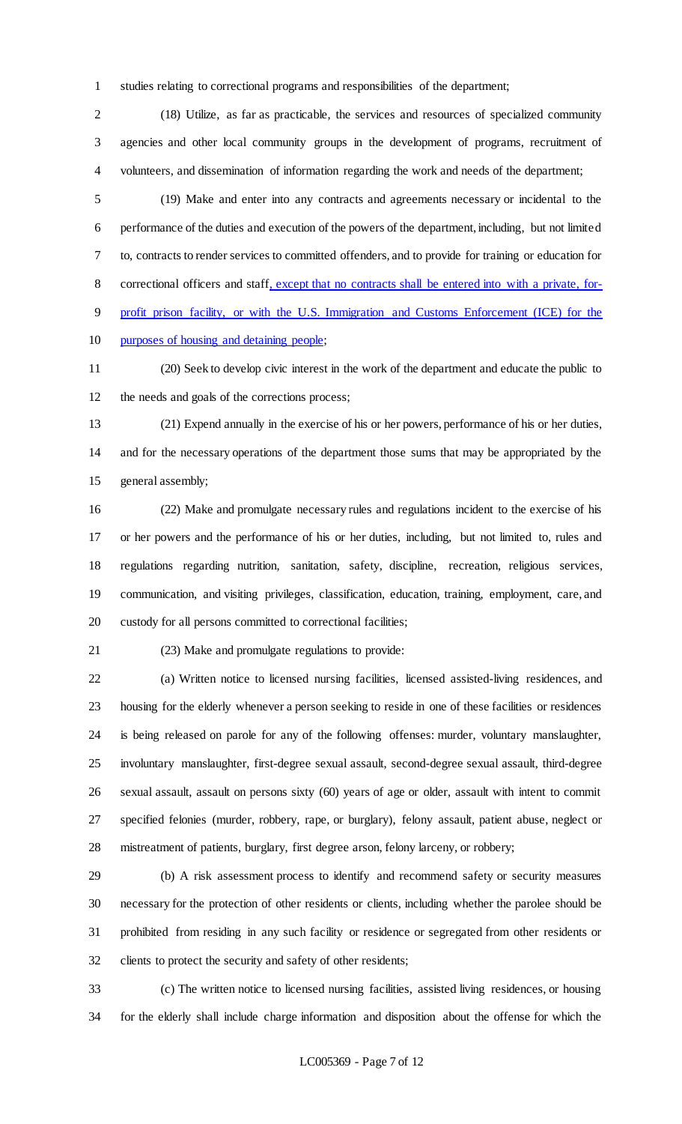studies relating to correctional programs and responsibilities of the department;

 (18) Utilize, as far as practicable, the services and resources of specialized community agencies and other local community groups in the development of programs, recruitment of volunteers, and dissemination of information regarding the work and needs of the department;

 (19) Make and enter into any contracts and agreements necessary or incidental to the performance of the duties and execution of the powers of the department, including, but not limited to, contracts to render services to committed offenders, and to provide for training or education for correctional officers and staff, except that no contracts shall be entered into with a private, for- profit prison facility, or with the U.S. Immigration and Customs Enforcement (ICE) for the 10 purposes of housing and detaining people;

 (20) Seek to develop civic interest in the work of the department and educate the public to the needs and goals of the corrections process;

 (21) Expend annually in the exercise of his or her powers, performance of his or her duties, and for the necessary operations of the department those sums that may be appropriated by the general assembly;

 (22) Make and promulgate necessary rules and regulations incident to the exercise of his or her powers and the performance of his or her duties, including, but not limited to, rules and regulations regarding nutrition, sanitation, safety, discipline, recreation, religious services, communication, and visiting privileges, classification, education, training, employment, care, and custody for all persons committed to correctional facilities;

(23) Make and promulgate regulations to provide:

 (a) Written notice to licensed nursing facilities, licensed assisted-living residences, and housing for the elderly whenever a person seeking to reside in one of these facilities or residences is being released on parole for any of the following offenses: murder, voluntary manslaughter, involuntary manslaughter, first-degree sexual assault, second-degree sexual assault, third-degree sexual assault, assault on persons sixty (60) years of age or older, assault with intent to commit specified felonies (murder, robbery, rape, or burglary), felony assault, patient abuse, neglect or mistreatment of patients, burglary, first degree arson, felony larceny, or robbery;

 (b) A risk assessment process to identify and recommend safety or security measures necessary for the protection of other residents or clients, including whether the parolee should be prohibited from residing in any such facility or residence or segregated from other residents or clients to protect the security and safety of other residents;

 (c) The written notice to licensed nursing facilities, assisted living residences, or housing for the elderly shall include charge information and disposition about the offense for which the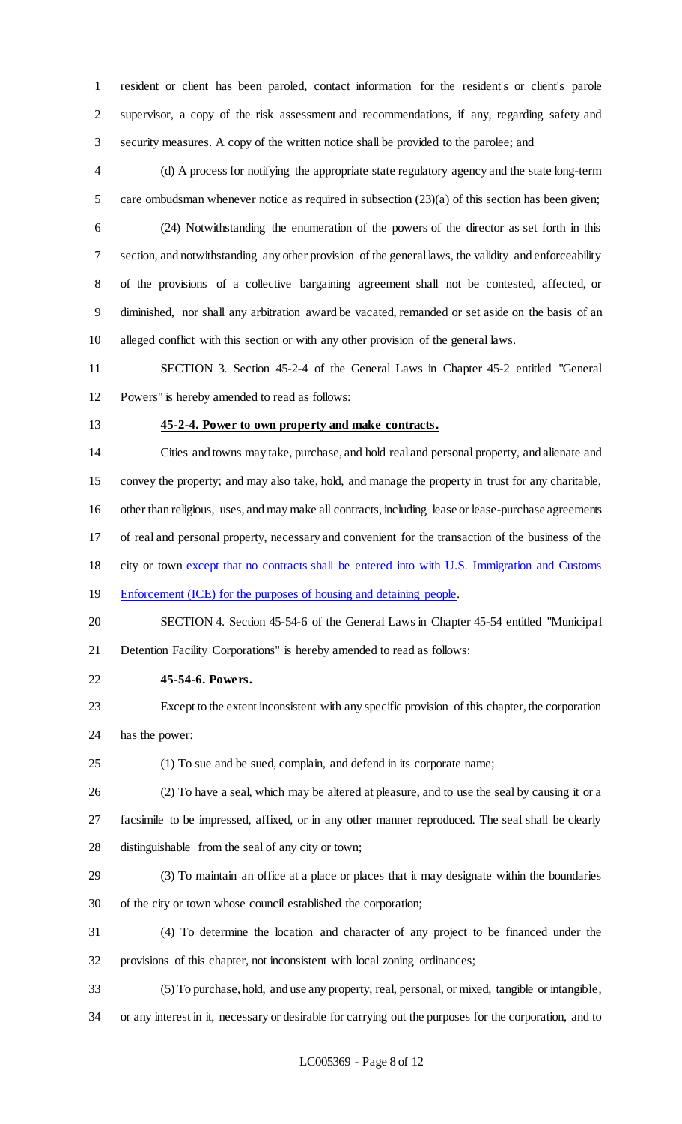resident or client has been paroled, contact information for the resident's or client's parole supervisor, a copy of the risk assessment and recommendations, if any, regarding safety and security measures. A copy of the written notice shall be provided to the parolee; and

 (d) A process for notifying the appropriate state regulatory agency and the state long-term care ombudsman whenever notice as required in subsection (23)(a) of this section has been given;

 (24) Notwithstanding the enumeration of the powers of the director as set forth in this section, and notwithstanding any other provision of the general laws, the validity and enforceability of the provisions of a collective bargaining agreement shall not be contested, affected, or diminished, nor shall any arbitration award be vacated, remanded or set aside on the basis of an alleged conflict with this section or with any other provision of the general laws.

 SECTION 3. Section 45-2-4 of the General Laws in Chapter 45-2 entitled "General Powers" is hereby amended to read as follows:

#### **45-2-4. Power to own property and make contracts.**

 Cities and towns may take, purchase, and hold real and personal property, and alienate and convey the property; and may also take, hold, and manage the property in trust for any charitable, other than religious, uses, and may make all contracts, including lease or lease-purchase agreements of real and personal property, necessary and convenient for the transaction of the business of the city or town except that no contracts shall be entered into with U.S. Immigration and Customs 19 Enforcement (ICE) for the purposes of housing and detaining people.

 SECTION 4. Section 45-54-6 of the General Laws in Chapter 45-54 entitled "Municipal Detention Facility Corporations" is hereby amended to read as follows:

#### **45-54-6. Powers.**

- Except to the extent inconsistent with any specific provision of this chapter, the corporation has the power:
- (1) To sue and be sued, complain, and defend in its corporate name;
- 

(2) To have a seal, which may be altered at pleasure, and to use the seal by causing it or a

 facsimile to be impressed, affixed, or in any other manner reproduced. The seal shall be clearly distinguishable from the seal of any city or town;

- (3) To maintain an office at a place or places that it may designate within the boundaries of the city or town whose council established the corporation;
- (4) To determine the location and character of any project to be financed under the provisions of this chapter, not inconsistent with local zoning ordinances;
- (5) To purchase, hold, and use any property, real, personal, or mixed, tangible or intangible,
- or any interest in it, necessary or desirable for carrying out the purposes for the corporation, and to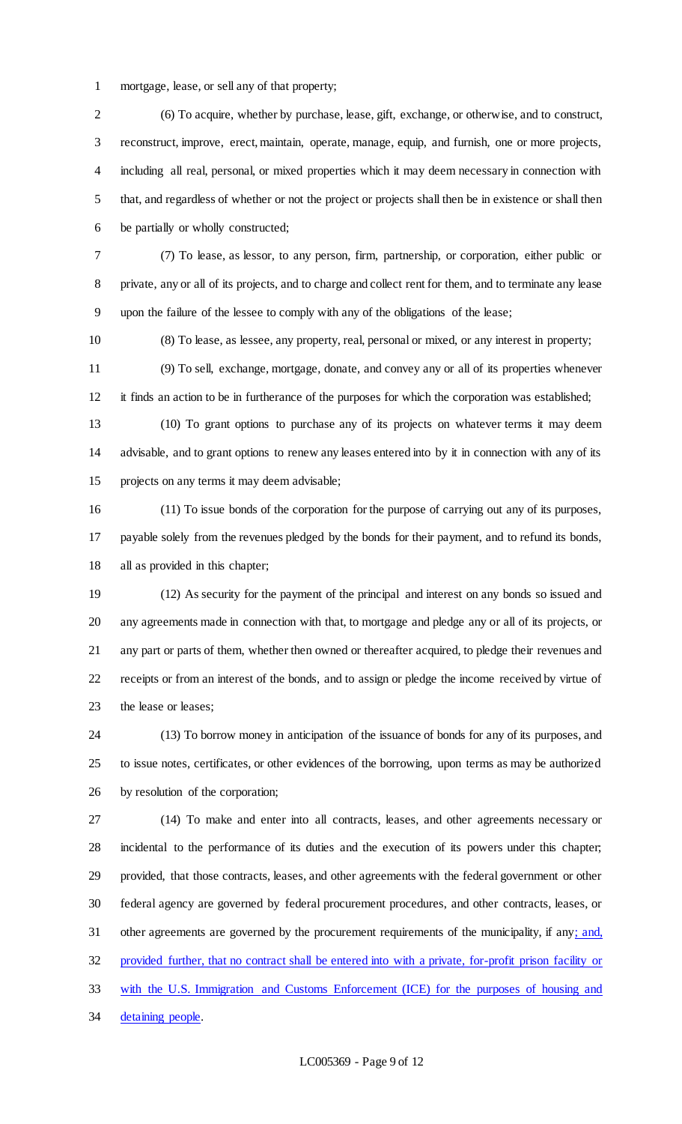mortgage, lease, or sell any of that property;

 (6) To acquire, whether by purchase, lease, gift, exchange, or otherwise, and to construct, reconstruct, improve, erect, maintain, operate, manage, equip, and furnish, one or more projects, including all real, personal, or mixed properties which it may deem necessary in connection with that, and regardless of whether or not the project or projects shall then be in existence or shall then be partially or wholly constructed;

 (7) To lease, as lessor, to any person, firm, partnership, or corporation, either public or private, any or all of its projects, and to charge and collect rent for them, and to terminate any lease upon the failure of the lessee to comply with any of the obligations of the lease;

(8) To lease, as lessee, any property, real, personal or mixed, or any interest in property;

 (9) To sell, exchange, mortgage, donate, and convey any or all of its properties whenever it finds an action to be in furtherance of the purposes for which the corporation was established;

 (10) To grant options to purchase any of its projects on whatever terms it may deem advisable, and to grant options to renew any leases entered into by it in connection with any of its projects on any terms it may deem advisable;

 (11) To issue bonds of the corporation for the purpose of carrying out any of its purposes, payable solely from the revenues pledged by the bonds for their payment, and to refund its bonds, all as provided in this chapter;

 (12) As security for the payment of the principal and interest on any bonds so issued and any agreements made in connection with that, to mortgage and pledge any or all of its projects, or any part or parts of them, whether then owned or thereafter acquired, to pledge their revenues and receipts or from an interest of the bonds, and to assign or pledge the income received by virtue of the lease or leases;

 (13) To borrow money in anticipation of the issuance of bonds for any of its purposes, and to issue notes, certificates, or other evidences of the borrowing, upon terms as may be authorized by resolution of the corporation;

 (14) To make and enter into all contracts, leases, and other agreements necessary or incidental to the performance of its duties and the execution of its powers under this chapter; provided, that those contracts, leases, and other agreements with the federal government or other federal agency are governed by federal procurement procedures, and other contracts, leases, or 31 other agreements are governed by the procurement requirements of the municipality, if any; and, provided further, that no contract shall be entered into with a private, for-profit prison facility or with the U.S. Immigration and Customs Enforcement (ICE) for the purposes of housing and 34 detaining people.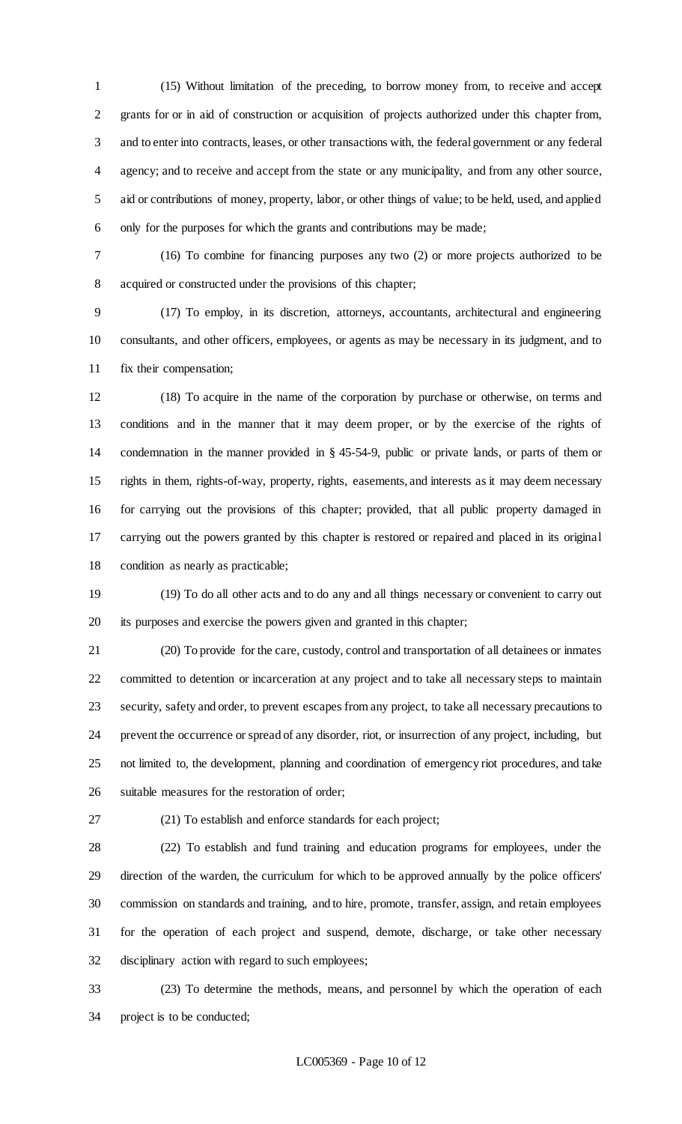(15) Without limitation of the preceding, to borrow money from, to receive and accept grants for or in aid of construction or acquisition of projects authorized under this chapter from, and to enter into contracts, leases, or other transactions with, the federal government or any federal agency; and to receive and accept from the state or any municipality, and from any other source, aid or contributions of money, property, labor, or other things of value; to be held, used, and applied only for the purposes for which the grants and contributions may be made;

 (16) To combine for financing purposes any two (2) or more projects authorized to be acquired or constructed under the provisions of this chapter;

 (17) To employ, in its discretion, attorneys, accountants, architectural and engineering consultants, and other officers, employees, or agents as may be necessary in its judgment, and to fix their compensation;

 (18) To acquire in the name of the corporation by purchase or otherwise, on terms and conditions and in the manner that it may deem proper, or by the exercise of the rights of condemnation in the manner provided in § 45-54-9, public or private lands, or parts of them or rights in them, rights-of-way, property, rights, easements, and interests as it may deem necessary for carrying out the provisions of this chapter; provided, that all public property damaged in carrying out the powers granted by this chapter is restored or repaired and placed in its original condition as nearly as practicable;

 (19) To do all other acts and to do any and all things necessary or convenient to carry out its purposes and exercise the powers given and granted in this chapter;

 (20) To provide for the care, custody, control and transportation of all detainees or inmates committed to detention or incarceration at any project and to take all necessary steps to maintain security, safety and order, to prevent escapes from any project, to take all necessary precautions to prevent the occurrence or spread of any disorder, riot, or insurrection of any project, including, but not limited to, the development, planning and coordination of emergency riot procedures, and take suitable measures for the restoration of order;

(21) To establish and enforce standards for each project;

 (22) To establish and fund training and education programs for employees, under the direction of the warden, the curriculum for which to be approved annually by the police officers' commission on standards and training, and to hire, promote, transfer, assign, and retain employees for the operation of each project and suspend, demote, discharge, or take other necessary disciplinary action with regard to such employees;

 (23) To determine the methods, means, and personnel by which the operation of each project is to be conducted;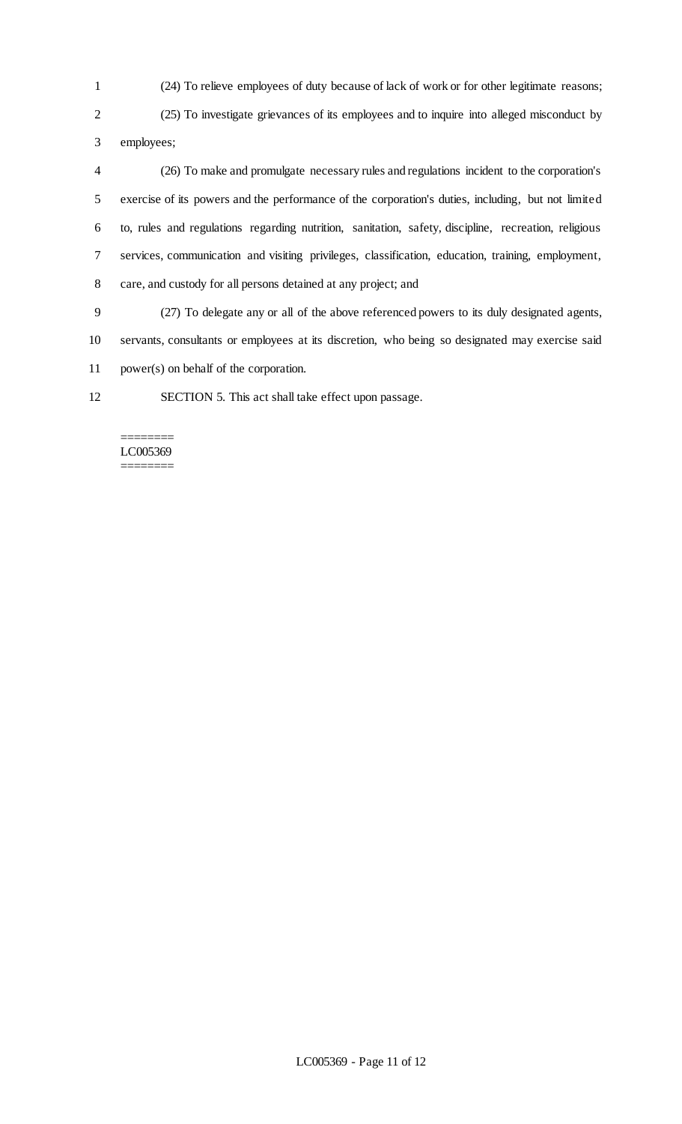(24) To relieve employees of duty because of lack of work or for other legitimate reasons;

 (25) To investigate grievances of its employees and to inquire into alleged misconduct by employees;

 (26) To make and promulgate necessary rules and regulations incident to the corporation's exercise of its powers and the performance of the corporation's duties, including, but not limited to, rules and regulations regarding nutrition, sanitation, safety, discipline, recreation, religious services, communication and visiting privileges, classification, education, training, employment, care, and custody for all persons detained at any project; and

 (27) To delegate any or all of the above referenced powers to its duly designated agents, servants, consultants or employees at its discretion, who being so designated may exercise said power(s) on behalf of the corporation.

SECTION 5. This act shall take effect upon passage.

#### ======== LC005369 ========